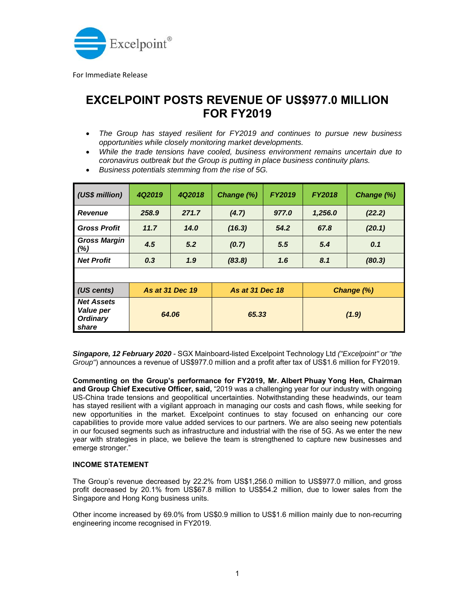

For Immediate Release

## **EXCELPOINT POSTS REVENUE OF US\$977.0 MILLION FOR FY2019**

- *The Group has stayed resilient for FY2019 and continues to pursue new business opportunities while closely monitoring market developments.*
- *While the trade tensions have cooled, business environment remains uncertain due to coronavirus outbreak but the Group is putting in place business continuity plans.*
- *Business potentials stemming from the rise of 5G.*

| (US\$ million)                                                    | 4Q2019          | 4Q2018 | Change (%)             | <b>FY2019</b> | <b>FY2018</b> | Change (%) |
|-------------------------------------------------------------------|-----------------|--------|------------------------|---------------|---------------|------------|
| <b>Revenue</b>                                                    | 258.9           | 271.7  | (4.7)                  | 977.0         | 1,256.0       | (22.2)     |
| <b>Gross Profit</b>                                               | 11.7            | 14.0   | (16.3)                 | 54.2          | 67.8          | (20.1)     |
| <b>Gross Margin</b><br>(% )                                       | 4.5             | 5.2    | (0.7)                  | 5.5           | 5.4           | 0.1        |
| <b>Net Profit</b>                                                 | 0.3             | 1.9    | (83.8)                 | 1.6           | 8.1           | (80.3)     |
|                                                                   |                 |        |                        |               |               |            |
| (US cents)                                                        | As at 31 Dec 19 |        | <b>As at 31 Dec 18</b> |               | Change (%)    |            |
| <b>Net Assets</b><br><b>Value per</b><br><b>Ordinary</b><br>share | 64.06           |        | 65.33                  |               | (1.9)         |            |

*Singapore, 12 February 2020* - SGX Mainboard-listed Excelpoint Technology Ltd *("Excelpoint" or "the Group"*) announces a revenue of US\$977.0 million and a profit after tax of US\$1.6 million for FY2019.

**Commenting on the Group's performance for FY2019, Mr. Albert Phuay Yong Hen, Chairman and Group Chief Executive Officer, said,** "2019 was a challenging year for our industry with ongoing US-China trade tensions and geopolitical uncertainties. Notwithstanding these headwinds, our team has stayed resilient with a vigilant approach in managing our costs and cash flows, while seeking for new opportunities in the market. Excelpoint continues to stay focused on enhancing our core capabilities to provide more value added services to our partners. We are also seeing new potentials in our focused segments such as infrastructure and industrial with the rise of 5G. As we enter the new year with strategies in place, we believe the team is strengthened to capture new businesses and emerge stronger."

## **INCOME STATEMENT**

The Group's revenue decreased by 22.2% from US\$1,256.0 million to US\$977.0 million, and gross profit decreased by 20.1% from US\$67.8 million to US\$54.2 million, due to lower sales from the Singapore and Hong Kong business units.

Other income increased by 69.0% from US\$0.9 million to US\$1.6 million mainly due to non-recurring engineering income recognised in FY2019.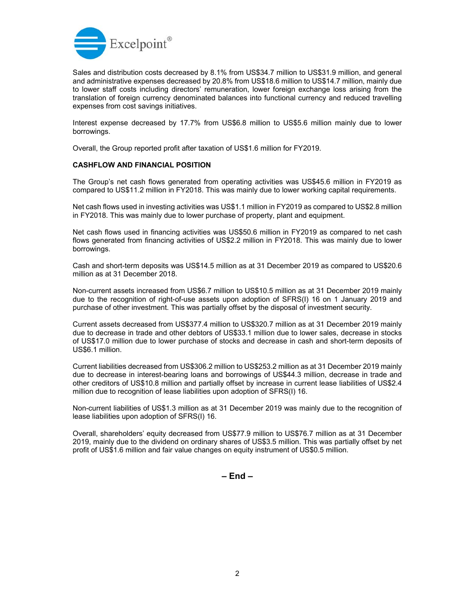

Sales and distribution costs decreased by 8.1% from US\$34.7 million to US\$31.9 million, and general and administrative expenses decreased by 20.8% from US\$18.6 million to US\$14.7 million, mainly due to lower staff costs including directors' remuneration, lower foreign exchange loss arising from the translation of foreign currency denominated balances into functional currency and reduced travelling expenses from cost savings initiatives.

Interest expense decreased by 17.7% from US\$6.8 million to US\$5.6 million mainly due to lower borrowings.

Overall, the Group reported profit after taxation of US\$1.6 million for FY2019.

## **CASHFLOW AND FINANCIAL POSITION**

The Group's net cash flows generated from operating activities was US\$45.6 million in FY2019 as compared to US\$11.2 million in FY2018. This was mainly due to lower working capital requirements.

Net cash flows used in investing activities was US\$1.1 million in FY2019 as compared to US\$2.8 million in FY2018. This was mainly due to lower purchase of property, plant and equipment.

Net cash flows used in financing activities was US\$50.6 million in FY2019 as compared to net cash flows generated from financing activities of US\$2.2 million in FY2018. This was mainly due to lower borrowings.

Cash and short-term deposits was US\$14.5 million as at 31 December 2019 as compared to US\$20.6 million as at 31 December 2018.

Non-current assets increased from US\$6.7 million to US\$10.5 million as at 31 December 2019 mainly due to the recognition of right-of-use assets upon adoption of SFRS(I) 16 on 1 January 2019 and purchase of other investment. This was partially offset by the disposal of investment security.

Current assets decreased from US\$377.4 million to US\$320.7 million as at 31 December 2019 mainly due to decrease in trade and other debtors of US\$33.1 million due to lower sales, decrease in stocks of US\$17.0 million due to lower purchase of stocks and decrease in cash and short-term deposits of US\$6.1 million.

Current liabilities decreased from US\$306.2 million to US\$253.2 million as at 31 December 2019 mainly due to decrease in interest-bearing loans and borrowings of US\$44.3 million, decrease in trade and other creditors of US\$10.8 million and partially offset by increase in current lease liabilities of US\$2.4 million due to recognition of lease liabilities upon adoption of SFRS(I) 16.

Non-current liabilities of US\$1.3 million as at 31 December 2019 was mainly due to the recognition of lease liabilities upon adoption of SFRS(I) 16.

Overall, shareholders' equity decreased from US\$77.9 million to US\$76.7 million as at 31 December 2019, mainly due to the dividend on ordinary shares of US\$3.5 million. This was partially offset by net profit of US\$1.6 million and fair value changes on equity instrument of US\$0.5 million.

**– End –**